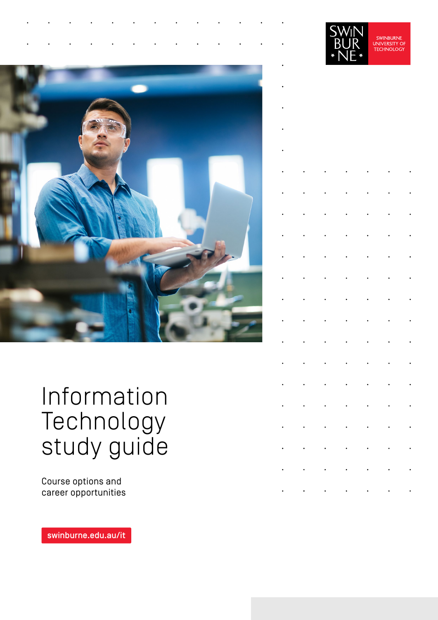

# Information Technology study guide

Course options and career opportunities

[swinburne.edu.au/it](https://www.swinburne.edu.au/courses/find-a-course/information-technology/?utm_campaign=short-url&utm_source=short-url&utm_medium=short-url) 

|                                                                                                                                                                                                                               | Ą.                                     | Βl<br>JR                                                                                          | ¥.                                         | <b>SWINBURNE</b><br><b>UNIVERSITY OF</b><br><b>TECHNOLOGY</b> |                      |
|-------------------------------------------------------------------------------------------------------------------------------------------------------------------------------------------------------------------------------|----------------------------------------|---------------------------------------------------------------------------------------------------|--------------------------------------------|---------------------------------------------------------------|----------------------|
|                                                                                                                                                                                                                               |                                        |                                                                                                   |                                            |                                                               |                      |
|                                                                                                                                                                                                                               |                                        |                                                                                                   |                                            |                                                               |                      |
|                                                                                                                                                                                                                               |                                        |                                                                                                   |                                            |                                                               |                      |
|                                                                                                                                                                                                                               |                                        |                                                                                                   |                                            |                                                               |                      |
|                                                                                                                                                                                                                               |                                        |                                                                                                   |                                            |                                                               |                      |
|                                                                                                                                                                                                                               |                                        |                                                                                                   |                                            |                                                               |                      |
|                                                                                                                                                                                                                               |                                        |                                                                                                   |                                            |                                                               |                      |
|                                                                                                                                                                                                                               |                                        |                                                                                                   |                                            |                                                               |                      |
|                                                                                                                                                                                                                               |                                        |                                                                                                   |                                            |                                                               |                      |
|                                                                                                                                                                                                                               |                                        |                                                                                                   |                                            |                                                               |                      |
|                                                                                                                                                                                                                               |                                        |                                                                                                   |                                            |                                                               |                      |
|                                                                                                                                                                                                                               |                                        |                                                                                                   |                                            |                                                               |                      |
|                                                                                                                                                                                                                               |                                        |                                                                                                   |                                            |                                                               |                      |
|                                                                                                                                                                                                                               |                                        | $\sigma_{\rm{eff}}=0.000$ and $\sigma_{\rm{eff}}=0.000$                                           |                                            | $\frac{1}{2}$                                                 |                      |
|                                                                                                                                                                                                                               |                                        | $\mathbf{r} = \mathbf{r} \cdot \mathbf{r}$ , where $\mathbf{r} = \mathbf{r} \cdot \mathbf{r}$     |                                            |                                                               |                      |
|                                                                                                                                                                                                                               |                                        | $\mathbf{r} = \left\{ \mathbf{r}_1, \mathbf{r}_2, \ldots, \mathbf{r}_n \right\}$ , $\mathbf{r}_1$ |                                            | $\epsilon_{\rm{max}}$                                         | $\ddot{\phantom{0}}$ |
|                                                                                                                                                                                                                               | $\epsilon_{\rm{max}}$                  |                                                                                                   | $\mathbf{r} = \mathbf{r} \cdot \mathbf{r}$ | $\bullet$ .                                                   |                      |
|                                                                                                                                                                                                                               |                                        | $\mathbf{r}=(\mathbf{r}_1,\ldots,\mathbf{r}_N)$ , $\mathbf{r}_1,\ldots,\mathbf{r}_N$ ,            |                                            | $\epsilon_{\rm{max}}$                                         |                      |
|                                                                                                                                                                                                                               | $\mathbf{H}^{\text{max}}_{\text{max}}$ |                                                                                                   | $\mathbf{H}^{\text{max}}_{\text{max}}$     | $\epsilon_{\rm{max}}$                                         |                      |
| . The contribution of the contribution of the contribution of the contribution of the contribution of the contribution of the contribution of the contribution of the contribution of the contribution of the contribution of |                                        |                                                                                                   |                                            |                                                               |                      |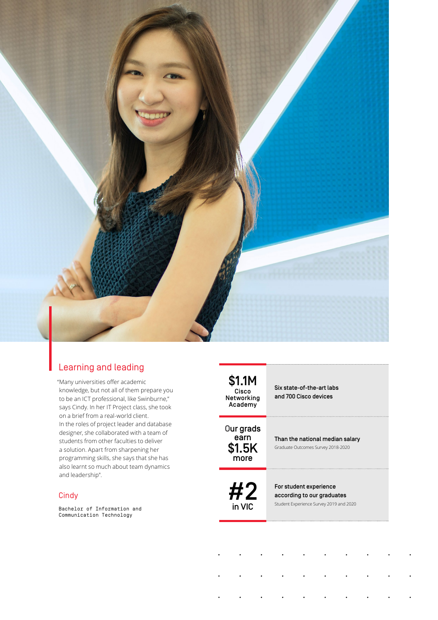

## Learning and leading

"Many universities offer academic knowledge, but not all of them prepare you to be an ICT professional, like Swinburne," says Cindy. In her IT Project class, she took on a brief from a real-world client. In the roles of project leader and database designer, she collaborated with a team of students from other faculties to deliver a solution. Apart from sharpening her programming skills, she says that she has also learnt so much about team dynamics and leadership".

#### **Cindy**

Bachelor of Information and Communication Technology

\$1.1M Cisco Networking Academy

### Six state-of-the-art labs and 700 Cisco devices

Our grads earn \$1.5K more

Than the national median salary Graduate Outcomes Survey 2018-2020

#2 in VIC

For student experience according to our graduates Student Experience Survey 2019 and 2020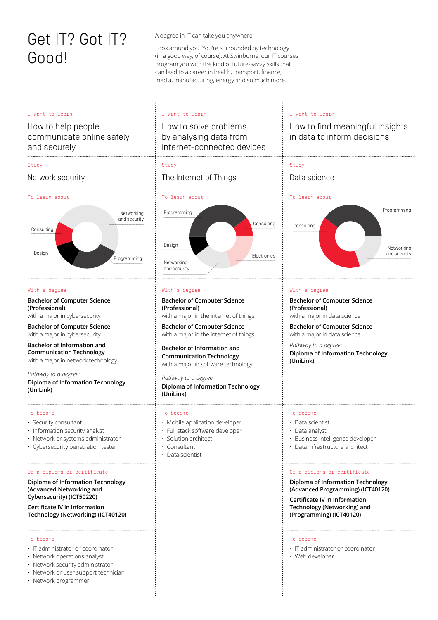## Get IT? Got IT? Good!

A degree in IT can take you anywhere.

Look around you. You're surrounded by technology (in a good way, of course). At Swinburne, our IT courses program you with the kind of future-savvy skills that can lead to a career in health, transport, finance, media, manufacturing, energy and so much more.

| I want to learn<br>How to help people<br>communicate online safely<br>and securely                                                                                                                                                                                                                                                                                                                                                                                                                                                         | I want to learn<br>How to solve problems<br>by analysing data from<br>internet-connected devices                                                                                                                                                                                                                                                                                     | I want to learn<br>How to find meaningful insights<br>in data to inform decisions                                                                                                                                                                                                                                                                                                               |
|--------------------------------------------------------------------------------------------------------------------------------------------------------------------------------------------------------------------------------------------------------------------------------------------------------------------------------------------------------------------------------------------------------------------------------------------------------------------------------------------------------------------------------------------|--------------------------------------------------------------------------------------------------------------------------------------------------------------------------------------------------------------------------------------------------------------------------------------------------------------------------------------------------------------------------------------|-------------------------------------------------------------------------------------------------------------------------------------------------------------------------------------------------------------------------------------------------------------------------------------------------------------------------------------------------------------------------------------------------|
| Study<br>Network security                                                                                                                                                                                                                                                                                                                                                                                                                                                                                                                  | Study<br>The Internet of Things                                                                                                                                                                                                                                                                                                                                                      | Study<br>Data science                                                                                                                                                                                                                                                                                                                                                                           |
| To learn about<br>Networking<br>and security<br>Consulting<br>Design<br>Programming                                                                                                                                                                                                                                                                                                                                                                                                                                                        | To learn about<br>Programming<br>Consulting<br>Design<br>Electronics<br>Networking<br>and security                                                                                                                                                                                                                                                                                   | To learn about<br>Programming<br>Consulting<br>Networking<br>and security                                                                                                                                                                                                                                                                                                                       |
| With a degree<br><b>Bachelor of Computer Science</b><br>(Professional)<br>with a major in cybersecurity<br><b>Bachelor of Computer Science</b><br>with a major in cybersecurity<br>Bachelor of Information and<br><b>Communication Technology</b><br>with a major in network technology<br>Pathway to a degree:<br>Diploma of Information Technology<br>(UniLink)                                                                                                                                                                          | With a degree<br><b>Bachelor of Computer Science</b><br>(Professional)<br>with a major in the internet of things<br><b>Bachelor of Computer Science</b><br>with a major in the internet of things<br>Bachelor of Information and<br><b>Communication Technology</b><br>with a major in software technology<br>Pathway to a degree:<br>Diploma of Information Technology<br>(UniLink) | With a degree<br><b>Bachelor of Computer Science</b><br>(Professional)<br>with a major in data science<br><b>Bachelor of Computer Science</b><br>with a major in data science<br>Pathway to a degree:<br>Diploma of Information Technology<br>(UniLink)                                                                                                                                         |
| To become<br>· Security consultant<br>· Information security analyst<br>· Network or systems administrator<br>• Cybersecurity penetration tester<br>Or a diploma or certificate<br>Diploma of Information Technology<br>(Advanced Networking and<br>Cybersecurity) (ICT50220)<br>Certificate IV in Information<br>Technology (Networking) (ICT40120)<br>To become<br>• IT administrator or coordinator<br>· Network operations analyst<br>· Network security administrator<br>· Network or user support technician<br>· Network programmer | To become<br>· Mobile application developer<br>· Full stack software developer<br>$\cdot\,$ Solution architect<br>• Consultant<br>• Data scientist                                                                                                                                                                                                                                   | To become<br>• Data scientist<br>• Data analyst<br>Business intelligence developer<br>• Data infrastructure architect<br>Or a diploma or certificate<br>Diploma of Information Technology<br>(Advanced Programming) (ICT40120)<br>Certificate IV in Information<br>Technology (Networking) and<br>(Programming) (ICT40120)<br>To become<br>· IT administrator or coordinator<br>• Web developer |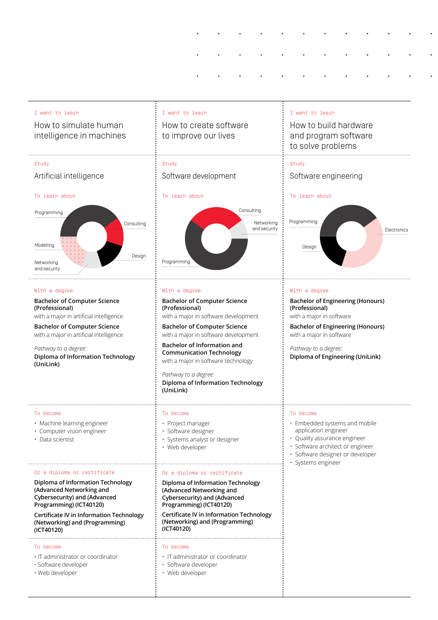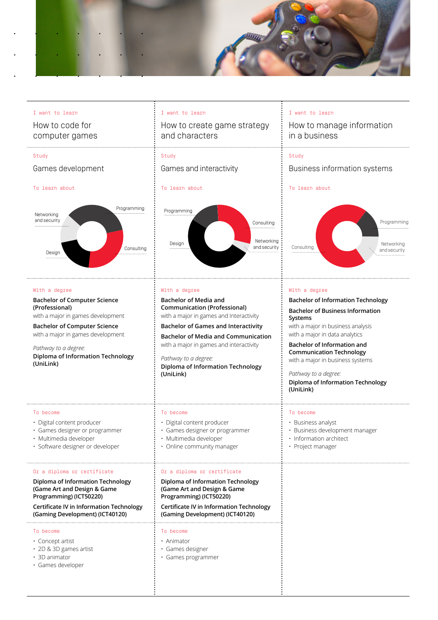

#### I want to learn

How to code for computer games

#### Study

#### Games development

#### To learn about



#### With a degree

**Bachelor of Computer Science (Professional)**  with a major in games development

**Bachelor of Computer Science**  with a major in games development

*Pathway to a degree:* **Diploma of Information Technology (UniLink)**

#### To become

- Digital content producer
- Games designer or programmer
- Multimedia developer
- Software designer or developer

#### Or a diploma or certificate

#### **Diploma of Information Technology (Game Art and Design & Game Programming) (ICT50220)**

#### **Certificate IV in Information Technology (Gaming Development) (ICT40120)**

#### To become

- Concept artist
- 2D & 3D games artist
- 3D animator
- Games developer

#### I want to learn

How to create game strategy and characters

## Study

Games and interactivity

#### To learn about



#### With a degree

**Bachelor of Media and Communication (Professional)**  with a major in games and Interactivity

**Bachelor of Games and Interactivity**

**Bachelor of Media and Communication** with a major in games and interactivity

*Pathway to a degree:* **Diploma of Information Technology (UniLink)**

#### To become

- Digital content producer
- Games designer or programmer
- Multimedia developer
- Online community manager

#### Or a diploma or certificate

**Diploma of Information Technology (Game Art and Design & Game Programming) (ICT50220)**

**Certificate IV in Information Technology (Gaming Development) (ICT40120)** 

#### To become

- Animator
- Games designer
- Games programmer

#### I want to learn

How to manage information in a business

#### Study

#### Business information systems

#### To learn about



#### With a degree

#### **Bachelor of Information Technology**

**Bachelor of Business Information Systems**

with a major in business analysis with a major in data analytics

**Bachelor of Information and Communication Technology** with a major in business systems

*Pathway to a degree:* **Diploma of Information Technology** 

**(UniLink)**

#### To become

- Business analyst
- Business development manager
- Information architect
- Project manager